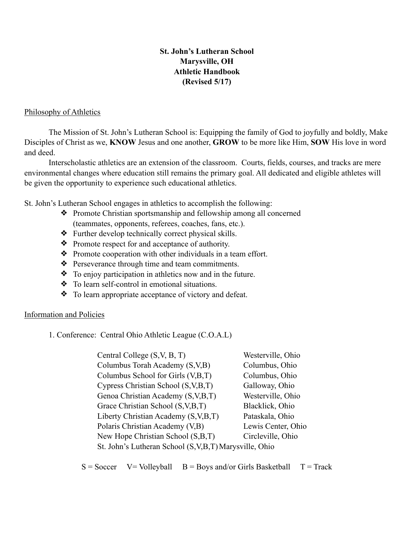## **St. John's Lutheran School Marysville, OH Athletic Handbook (Revised 5/17)**

### Philosophy of Athletics

 The Mission of St. John's Lutheran School is: Equipping the family of God to joyfully and boldly, Make Disciples of Christ as we, **KNOW** Jesus and one another, **GROW** to be more like Him, **SOW** His love in word and deed.

Interscholastic athletics are an extension of the classroom. Courts, fields, courses, and tracks are mere environmental changes where education still remains the primary goal. All dedicated and eligible athletes will be given the opportunity to experience such educational athletics.

St. John's Lutheran School engages in athletics to accomplish the following:

- ❖ Promote Christian sportsmanship and fellowship among all concerned (teammates, opponents, referees, coaches, fans, etc.).
- ❖ Further develop technically correct physical skills.
- ❖ Promote respect for and acceptance of authority.
- ❖ Promote cooperation with other individuals in a team effort.
- ❖ Perseverance through time and team commitments.
- ❖ To enjoy participation in athletics now and in the future.
- ❖ To learn self-control in emotional situations.
- ❖ To learn appropriate acceptance of victory and defeat.

## Information and Policies

1. Conference: Central Ohio Athletic League (C.O.A.L)

| Central College (S, V, B, T)                             | Westerville, Ohio  |
|----------------------------------------------------------|--------------------|
| Columbus Torah Academy (S,V,B)                           | Columbus, Ohio     |
| Columbus School for Girls (V,B,T)                        | Columbus, Ohio     |
| Cypress Christian School (S, V, B, T)                    | Galloway, Ohio     |
| Genoa Christian Academy (S, V, B, T)                     | Westerville, Ohio  |
| Grace Christian School (S, V, B, T)                      | Blacklick, Ohio    |
| Liberty Christian Academy (S, V, B, T)                   | Pataskala, Ohio    |
| Polaris Christian Academy (V,B)                          | Lewis Center, Ohio |
| New Hope Christian School (S,B,T)                        | Circleville, Ohio  |
| St. John's Lutheran School (S, V, B, T) Marysville, Ohio |                    |

 $S =$  Soccer  $V =$  Volleyball  $B =$  Boys and/or Girls Basketball  $T =$  Track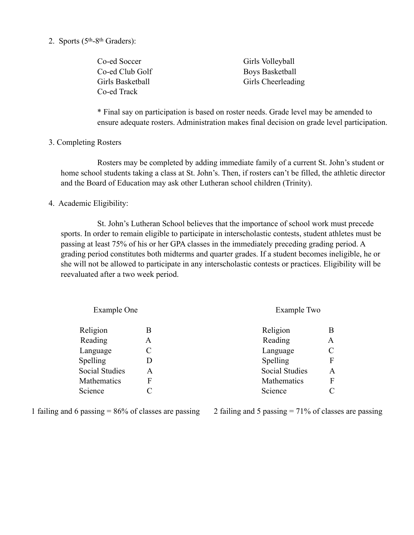2. Sports (5th-8th Graders):

| Co-ed Soccer     | Girls Volleyball   |
|------------------|--------------------|
| Co-ed Club Golf  | Boys Basketball    |
| Girls Basketball | Girls Cheerleading |
| Co-ed Track      |                    |

\* Final say on participation is based on roster needs. Grade level may be amended to ensure adequate rosters. Administration makes final decision on grade level participation.

3. Completing Rosters

 Rosters may be completed by adding immediate family of a current St. John's student or home school students taking a class at St. John's. Then, if rosters can't be filled, the athletic director and the Board of Education may ask other Lutheran school children (Trinity).

#### 4. Academic Eligibility:

 St. John's Lutheran School believes that the importance of school work must precede sports. In order to remain eligible to participate in interscholastic contests, student athletes must be passing at least 75% of his or her GPA classes in the immediately preceding grading period. A grading period constitutes both midterms and quarter grades. If a student becomes ineligible, he or she will not be allowed to participate in any interscholastic contests or practices. Eligibility will be reevaluated after a two week period.

| Example One |                       |             |
|-------------|-----------------------|-------------|
| В           | Religion              |             |
| A           | Reading               | A           |
| C           | Language              |             |
| D           | Spelling              | F           |
| Α           | <b>Social Studies</b> | A           |
| F           | Mathematics           | F           |
| C           | Science               |             |
|             |                       | Example Two |

1 failing and 6 passing  $= 86\%$  of classes are passing

2 failing and 5 passing = 71% of classes are passing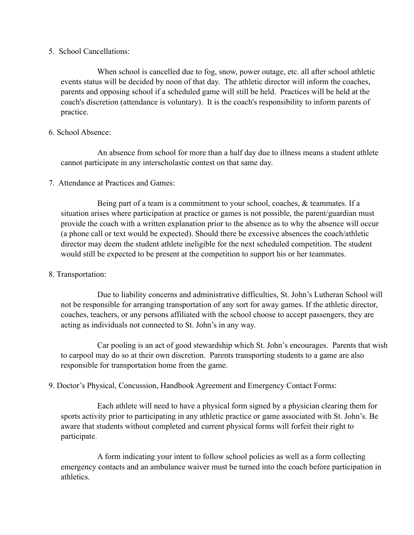5. School Cancellations:

 When school is cancelled due to fog, snow, power outage, etc. all after school athletic events status will be decided by noon of that day. The athletic director will inform the coaches, parents and opposing school if a scheduled game will still be held. Practices will be held at the coach's discretion (attendance is voluntary). It is the coach's responsibility to inform parents of practice.

#### 6. School Absence:

 An absence from school for more than a half day due to illness means a student athlete cannot participate in any interscholastic contest on that same day.

7. Attendance at Practices and Games:

 Being part of a team is a commitment to your school, coaches, & teammates. If a situation arises where participation at practice or games is not possible, the parent/guardian must provide the coach with a written explanation prior to the absence as to why the absence will occur (a phone call or text would be expected). Should there be excessive absences the coach/athletic director may deem the student athlete ineligible for the next scheduled competition. The student would still be expected to be present at the competition to support his or her teammates.

#### 8. Transportation:

Due to liability concerns and administrative difficulties, St. John's Lutheran School will not be responsible for arranging transportation of any sort for away games. If the athletic director, coaches, teachers, or any persons affiliated with the school choose to accept passengers, they are acting as individuals not connected to St. John's in any way.

Car pooling is an act of good stewardship which St. John's encourages. Parents that wish to carpool may do so at their own discretion. Parents transporting students to a game are also responsible for transportation home from the game.

9. Doctor's Physical, Concussion, Handbook Agreement and Emergency Contact Forms:

 Each athlete will need to have a physical form signed by a physician clearing them for sports activity prior to participating in any athletic practice or game associated with St. John's. Be aware that students without completed and current physical forms will forfeit their right to participate.

A form indicating your intent to follow school policies as well as a form collecting emergency contacts and an ambulance waiver must be turned into the coach before participation in athletics.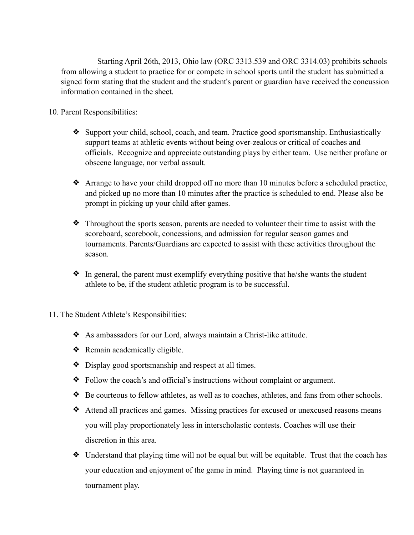Starting April 26th, 2013, Ohio law (ORC 3313.539 and ORC 3314.03) prohibits schools from allowing a student to practice for or compete in school sports until the student has submitted a signed form stating that the student and the student's parent or guardian have received the concussion information contained in the sheet.

## 10. Parent Responsibilities:

- ❖ Support your child, school, coach, and team. Practice good sportsmanship. Enthusiastically support teams at athletic events without being over-zealous or critical of coaches and officials. Recognize and appreciate outstanding plays by either team. Use neither profane or obscene language, nor verbal assault.
- ❖ Arrange to have your child dropped off no more than 10 minutes before a scheduled practice, and picked up no more than 10 minutes after the practice is scheduled to end. Please also be prompt in picking up your child after games.
- ❖ Throughout the sports season, parents are needed to volunteer their time to assist with the scoreboard, scorebook, concessions, and admission for regular season games and tournaments. Parents/Guardians are expected to assist with these activities throughout the season.
- ❖ In general, the parent must exemplify everything positive that he/she wants the student athlete to be, if the student athletic program is to be successful.
- 11. The Student Athlete's Responsibilities:
	- ❖ As ambassadors for our Lord, always maintain a Christ-like attitude.
	- ❖ Remain academically eligible.
	- ❖ Display good sportsmanship and respect at all times.
	- ❖ Follow the coach's and official's instructions without complaint or argument.
	- ❖ Be courteous to fellow athletes, as well as to coaches, athletes, and fans from other schools.
	- ❖ Attend all practices and games. Missing practices for excused or unexcused reasons means you will play proportionately less in interscholastic contests. Coaches will use their discretion in this area.
	- ❖ Understand that playing time will not be equal but will be equitable. Trust that the coach has your education and enjoyment of the game in mind. Playing time is not guaranteed in tournament play.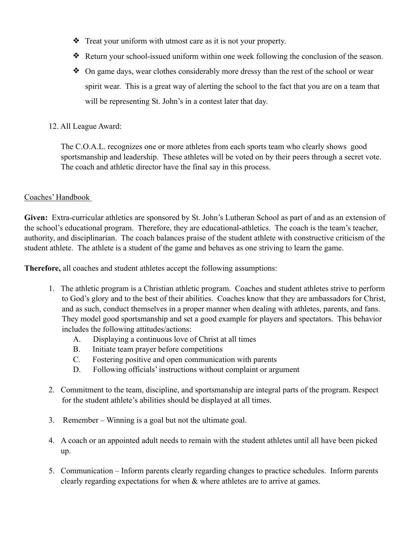- ❖ Treat your uniform with utmost care as it is not your property.
- ❖ Return your school-issued uniform within one week following the conclusion of the season.
- ❖ On game days, wear clothes considerably more dressy than the rest of the school or wear spirit wear. This is a great way of alerting the school to the fact that you are on a team that will be representing St. John's in a contest later that day.
- 12. All League Award:

The C.O.A.L. recognizes one or more athletes from each sports team who clearly shows good sportsmanship and leadership. These athletes will be voted on by their peers through a secret vote. The coach and athletic director have the final say in this process.

## Coaches' Handbook

**Given:** Extra-curricular athletics are sponsored by St. John's Lutheran School as part of and as an extension of the school's educational program. Therefore, they are educational-athletics. The coach is the team's teacher, authority, and disciplinarian. The coach balances praise of the student athlete with constructive criticism of the student athlete. The athlete is a student of the game and behaves as one striving to learn the game.

**Therefore,** all coaches and student athletes accept the following assumptions:

- 1. The athletic program is a Christian athletic program. Coaches and student athletes strive to perform to God's glory and to the best of their abilities. Coaches know that they are ambassadors for Christ, and as such, conduct themselves in a proper manner when dealing with athletes, parents, and fans. They model good sportsmanship and set a good example for players and spectators. This behavior includes the following attitudes/actions:
	- A. Displaying a continuous love of Christ at all times
	- B. Initiate team prayer before competitions
	- C. Fostering positive and open communication with parents
	- D. Following officials' instructions without complaint or argument
- 2. Commitment to the team, discipline, and sportsmanship are integral parts of the program. Respect for the student athlete's abilities should be displayed at all times.
- 3. Remember Winning is a goal but not the ultimate goal.
- 4. A coach or an appointed adult needs to remain with the student athletes until all have been picked up.
- 5. Communication Inform parents clearly regarding changes to practice schedules. Inform parents clearly regarding expectations for when & where athletes are to arrive at games.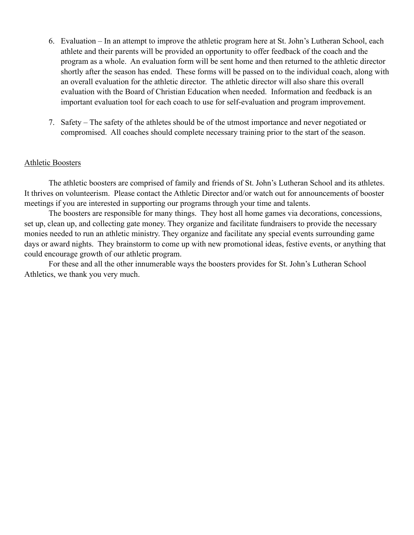- 6. Evaluation In an attempt to improve the athletic program here at St. John's Lutheran School, each athlete and their parents will be provided an opportunity to offer feedback of the coach and the program as a whole. An evaluation form will be sent home and then returned to the athletic director shortly after the season has ended. These forms will be passed on to the individual coach, along with an overall evaluation for the athletic director. The athletic director will also share this overall evaluation with the Board of Christian Education when needed. Information and feedback is an important evaluation tool for each coach to use for self-evaluation and program improvement.
- 7. Safety The safety of the athletes should be of the utmost importance and never negotiated or compromised. All coaches should complete necessary training prior to the start of the season.

#### Athletic Boosters

 The athletic boosters are comprised of family and friends of St. John's Lutheran School and its athletes. It thrives on volunteerism. Please contact the Athletic Director and/or watch out for announcements of booster meetings if you are interested in supporting our programs through your time and talents.

 The boosters are responsible for many things. They host all home games via decorations, concessions, set up, clean up, and collecting gate money. They organize and facilitate fundraisers to provide the necessary monies needed to run an athletic ministry. They organize and facilitate any special events surrounding game days or award nights. They brainstorm to come up with new promotional ideas, festive events, or anything that could encourage growth of our athletic program.

 For these and all the other innumerable ways the boosters provides for St. John's Lutheran School Athletics, we thank you very much.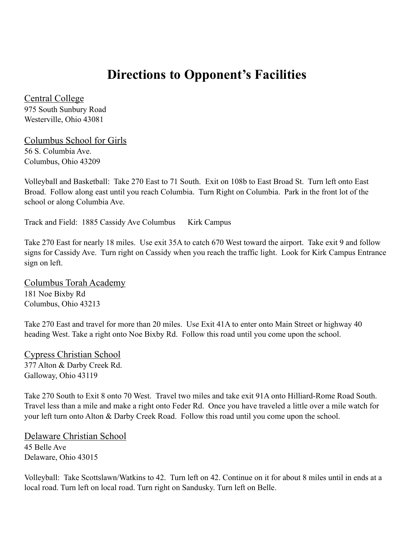# **Directions to Opponent's Facilities**

Central College 975 South Sunbury Road Westerville, Ohio 43081

Columbus School for Girls 56 S. Columbia Ave. Columbus, Ohio 43209

Volleyball and Basketball: Take 270 East to 71 South. Exit on 108b to East Broad St. Turn left onto East Broad. Follow along east until you reach Columbia. Turn Right on Columbia. Park in the front lot of the school or along Columbia Ave.

Track and Field: 1885 Cassidy Ave Columbus Kirk Campus

Take 270 East for nearly 18 miles. Use exit 35A to catch 670 West toward the airport. Take exit 9 and follow signs for Cassidy Ave. Turn right on Cassidy when you reach the traffic light. Look for Kirk Campus Entrance sign on left.

Columbus Torah Academy 181 Noe Bixby Rd Columbus, Ohio 43213

Take 270 East and travel for more than 20 miles. Use Exit 41A to enter onto Main Street or highway 40 heading West. Take a right onto Noe Bixby Rd. Follow this road until you come upon the school.

Cypress Christian School 377 Alton & Darby Creek Rd. Galloway, Ohio 43119

Take 270 South to Exit 8 onto 70 West. Travel two miles and take exit 91A onto Hilliard-Rome Road South. Travel less than a mile and make a right onto Feder Rd. Once you have traveled a little over a mile watch for your left turn onto Alton & Darby Creek Road. Follow this road until you come upon the school.

Delaware Christian School 45 Belle Ave Delaware, Ohio 43015

Volleyball: Take Scottslawn/Watkins to 42. Turn left on 42. Continue on it for about 8 miles until in ends at a local road. Turn left on local road. Turn right on Sandusky. Turn left on Belle.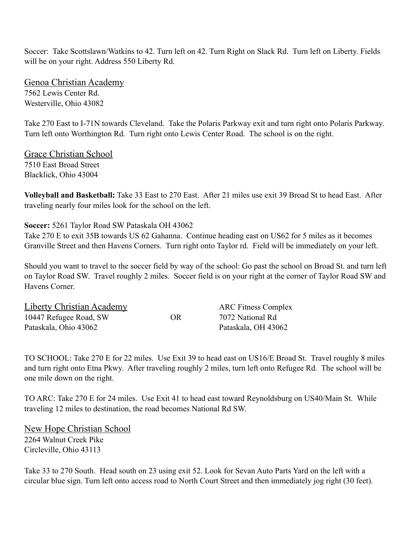Soccer: Take Scottslawn/Watkins to 42. Turn left on 42. Turn Right on Slack Rd. Turn left on Liberty. Fields will be on your right. Address 550 Liberty Rd.

Genoa Christian Academy 7562 Lewis Center Rd. Westerville, Ohio 43082

Take 270 East to I-71N towards Cleveland. Take the Polaris Parkway exit and turn right onto Polaris Parkway. Turn left onto Worthington Rd. Turn right onto Lewis Center Road. The school is on the right.

Grace Christian School 7510 East Broad Street Blacklick, Ohio 43004

**Volleyball and Basketball:** Take 33 East to 270 East. After 21 miles use exit 39 Broad St to head East. After traveling nearly four miles look for the school on the left.

**Soccer:** 5261 Taylor Road SW Pataskala OH 43062

Take 270 E to exit 35B towards US 62 Gahanna. Continue heading east on US62 for 5 miles as it becomes Granville Street and then Havens Corners. Turn right onto Taylor rd. Field will be immediately on your left.

Should you want to travel to the soccer field by way of the school: Go past the school on Broad St. and turn left on Taylor Road SW. Travel roughly 2 miles. Soccer field is on your right at the corner of Taylor Road SW and Havens Corner.

| Liberty Christian Academy |    | <b>ARC Fitness Complex</b> |
|---------------------------|----|----------------------------|
| 10447 Refugee Road, SW    | OR | 7072 National Rd           |
| Pataskala, Ohio 43062     |    | Pataskala, OH 43062        |

TO SCHOOL: Take 270 E for 22 miles. Use Exit 39 to head east on US16/E Broad St. Travel roughly 8 miles and turn right onto Etna Pkwy. After traveling roughly 2 miles, turn left onto Refugee Rd. The school will be one mile down on the right.

TO ARC: Take 270 E for 24 miles. Use Exit 41 to head east toward Reynoldsburg on US40/Main St. While traveling 12 miles to destination, the road becomes National Rd SW.

New Hope Christian School 2264 Walnut Creek Pike Circleville, Ohio 43113

Take 33 to 270 South. Head south on 23 using exit 52. Look for Sevan Auto Parts Yard on the left with a circular blue sign. Turn left onto access road to North Court Street and then immediately jog right (30 feet).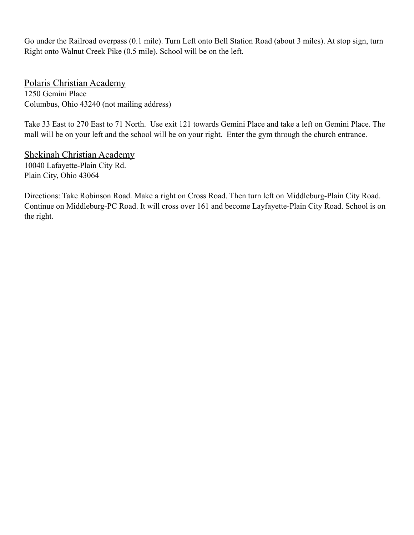Go under the Railroad overpass (0.1 mile). Turn Left onto Bell Station Road (about 3 miles). At stop sign, turn Right onto Walnut Creek Pike (0.5 mile). School will be on the left.

Polaris Christian Academy 1250 Gemini Place Columbus, Ohio 43240 (not mailing address)

Take 33 East to 270 East to 71 North. Use exit 121 towards Gemini Place and take a left on Gemini Place. The mall will be on your left and the school will be on your right. Enter the gym through the church entrance.

Shekinah Christian Academy 10040 Lafayette-Plain City Rd. Plain City, Ohio 43064

Directions: Take Robinson Road. Make a right on Cross Road. Then turn left on Middleburg-Plain City Road. Continue on Middleburg-PC Road. It will cross over 161 and become Layfayette-Plain City Road. School is on the right.